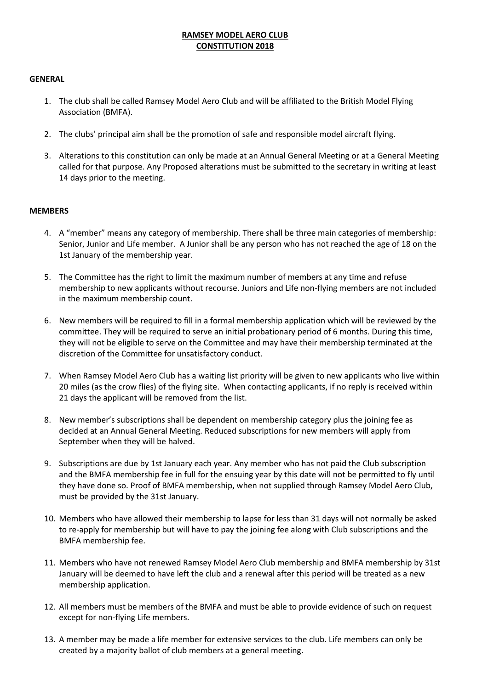# **RAMSEY MODEL AERO CLUB CONSTITUTION 2018**

## **GENERAL**

- 1. The club shall be called Ramsey Model Aero Club and will be affiliated to the British Model Flying Association (BMFA).
- 2. The clubs' principal aim shall be the promotion of safe and responsible model aircraft flying.
- 3. Alterations to this constitution can only be made at an Annual General Meeting or at a General Meeting called for that purpose. Any Proposed alterations must be submitted to the secretary in writing at least 14 days prior to the meeting.

## **MEMBERS**

- 4. A "member" means any category of membership. There shall be three main categories of membership: Senior, Junior and Life member. A Junior shall be any person who has not reached the age of 18 on the 1st January of the membership year.
- 5. The Committee has the right to limit the maximum number of members at any time and refuse membership to new applicants without recourse. Juniors and Life non-flying members are not included in the maximum membership count.
- 6. New members will be required to fill in a formal membership application which will be reviewed by the committee. They will be required to serve an initial probationary period of 6 months. During this time, they will not be eligible to serve on the Committee and may have their membership terminated at the discretion of the Committee for unsatisfactory conduct.
- 7. When Ramsey Model Aero Club has a waiting list priority will be given to new applicants who live within 20 miles (as the crow flies) of the flying site. When contacting applicants, if no reply is received within 21 days the applicant will be removed from the list.
- 8. New member's subscriptions shall be dependent on membership category plus the joining fee as decided at an Annual General Meeting. Reduced subscriptions for new members will apply from September when they will be halved.
- 9. Subscriptions are due by 1st January each year. Any member who has not paid the Club subscription and the BMFA membership fee in full for the ensuing year by this date will not be permitted to fly until they have done so. Proof of BMFA membership, when not supplied through Ramsey Model Aero Club, must be provided by the 31st January.
- 10. Members who have allowed their membership to lapse for less than 31 days will not normally be asked to re-apply for membership but will have to pay the joining fee along with Club subscriptions and the BMFA membership fee.
- 11. Members who have not renewed Ramsey Model Aero Club membership and BMFA membership by 31st January will be deemed to have left the club and a renewal after this period will be treated as a new membership application.
- 12. All members must be members of the BMFA and must be able to provide evidence of such on request except for non-flying Life members.
- 13. A member may be made a life member for extensive services to the club. Life members can only be created by a majority ballot of club members at a general meeting.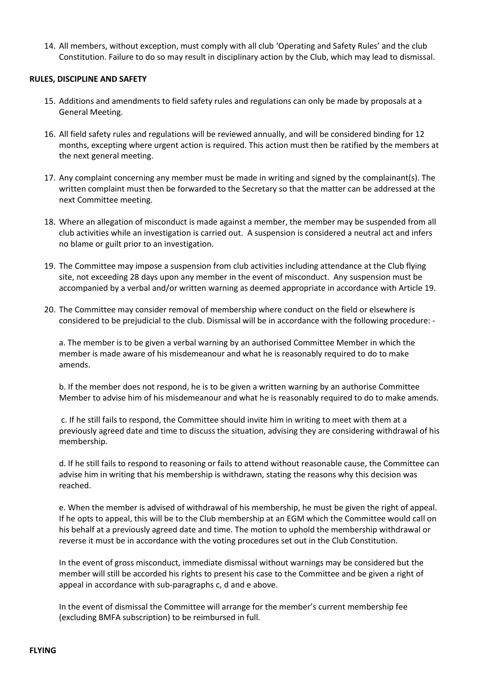14. All members, without exception, must comply with all club 'Operating and Safety Rules' and the club Constitution. Failure to do so may result in disciplinary action by the Club, which may lead to dismissal.

## **RULES, DISCIPLINE AND SAFETY**

- 15. Additions and amendments to field safety rules and regulations can only be made by proposals at a General Meeting.
- 16. All field safety rules and regulations will be reviewed annually, and will be considered binding for 12 months, excepting where urgent action is required. This action must then be ratified by the members at the next general meeting.
- 17. Any complaint concerning any member must be made in writing and signed by the complainant(s). The written complaint must then be forwarded to the Secretary so that the matter can be addressed at the next Committee meeting.
- 18. Where an allegation of misconduct is made against a member, the member may be suspended from all club activities while an investigation is carried out. A suspension is considered a neutral act and infers no blame or guilt prior to an investigation.
- 19. The Committee may impose a suspension from club activities including attendance at the Club flying site, not exceeding 28 days upon any member in the event of misconduct. Any suspension must be accompanied by a verbal and/or written warning as deemed appropriate in accordance with Article 19.
- 20. The Committee may consider removal of membership where conduct on the field or elsewhere is considered to be prejudicial to the club. Dismissal will be in accordance with the following procedure: -

a. The member is to be given a verbal warning by an authorised Committee Member in which the member is made aware of his misdemeanour and what he is reasonably required to do to make amends.

b. If the member does not respond, he is to be given a written warning by an authorise Committee Member to advise him of his misdemeanour and what he is reasonably required to do to make amends.

c. If he still fails to respond, the Committee should invite him in writing to meet with them at a previously agreed date and time to discuss the situation, advising they are considering withdrawal of his membership.

d. If he still fails to respond to reasoning or fails to attend without reasonable cause, the Committee can advise him in writing that his membership is withdrawn, stating the reasons why this decision was reached.

e. When the member is advised of withdrawal of his membership, he must be given the right of appeal. If he opts to appeal, this will be to the Club membership at an EGM which the Committee would call on his behalf at a previously agreed date and time. The motion to uphold the membership withdrawal or reverse it must be in accordance with the voting procedures set out in the Club Constitution.

In the event of gross misconduct, immediate dismissal without warnings may be considered but the member will still be accorded his rights to present his case to the Committee and be given a right of appeal in accordance with sub-paragraphs c, d and e above.

In the event of dismissal the Committee will arrange for the member's current membership fee (excluding BMFA subscription) to be reimbursed in full.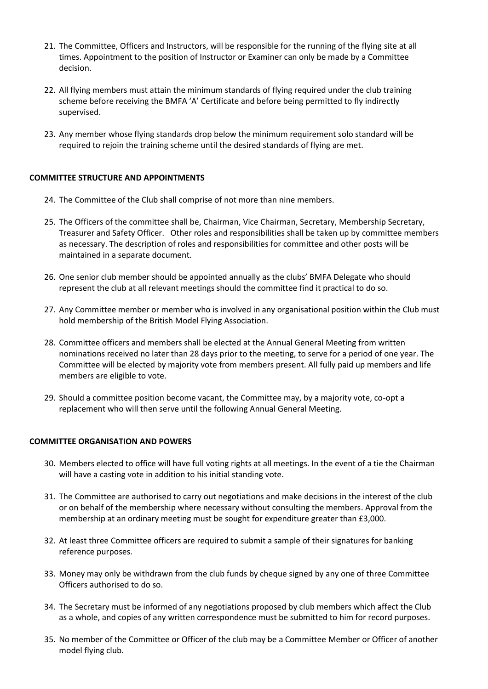- 21. The Committee, Officers and Instructors, will be responsible for the running of the flying site at all times. Appointment to the position of Instructor or Examiner can only be made by a Committee decision.
- 22. All flying members must attain the minimum standards of flying required under the club training scheme before receiving the BMFA 'A' Certificate and before being permitted to fly indirectly supervised.
- 23. Any member whose flying standards drop below the minimum requirement solo standard will be required to rejoin the training scheme until the desired standards of flying are met.

# **COMMITTEE STRUCTURE AND APPOINTMENTS**

- 24. The Committee of the Club shall comprise of not more than nine members.
- 25. The Officers of the committee shall be, Chairman, Vice Chairman, Secretary, Membership Secretary, Treasurer and Safety Officer. Other roles and responsibilities shall be taken up by committee members as necessary. The description of roles and responsibilities for committee and other posts will be maintained in a separate document.
- 26. One senior club member should be appointed annually as the clubs' BMFA Delegate who should represent the club at all relevant meetings should the committee find it practical to do so.
- 27. Any Committee member or member who is involved in any organisational position within the Club must hold membership of the British Model Flying Association.
- 28. Committee officers and members shall be elected at the Annual General Meeting from written nominations received no later than 28 days prior to the meeting, to serve for a period of one year. The Committee will be elected by majority vote from members present. All fully paid up members and life members are eligible to vote.
- 29. Should a committee position become vacant, the Committee may, by a majority vote, co-opt a replacement who will then serve until the following Annual General Meeting.

## **COMMITTEE ORGANISATION AND POWERS**

- 30. Members elected to office will have full voting rights at all meetings. In the event of a tie the Chairman will have a casting vote in addition to his initial standing vote.
- 31. The Committee are authorised to carry out negotiations and make decisions in the interest of the club or on behalf of the membership where necessary without consulting the members. Approval from the membership at an ordinary meeting must be sought for expenditure greater than £3,000.
- 32. At least three Committee officers are required to submit a sample of their signatures for banking reference purposes.
- 33. Money may only be withdrawn from the club funds by cheque signed by any one of three Committee Officers authorised to do so.
- 34. The Secretary must be informed of any negotiations proposed by club members which affect the Club as a whole, and copies of any written correspondence must be submitted to him for record purposes.
- 35. No member of the Committee or Officer of the club may be a Committee Member or Officer of another model flying club.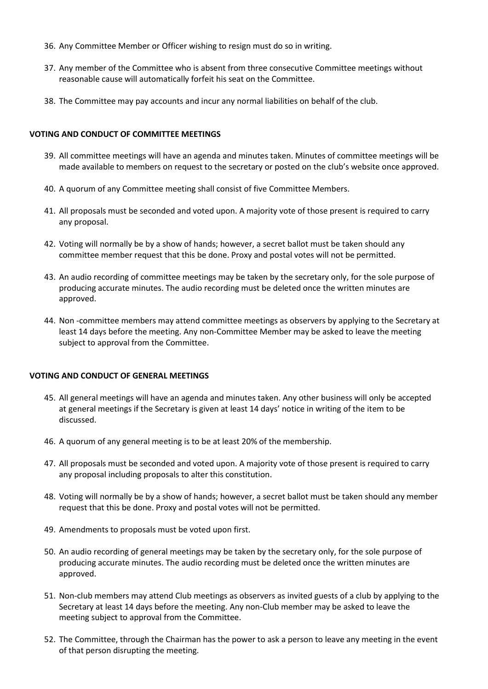- 36. Any Committee Member or Officer wishing to resign must do so in writing.
- 37. Any member of the Committee who is absent from three consecutive Committee meetings without reasonable cause will automatically forfeit his seat on the Committee.
- 38. The Committee may pay accounts and incur any normal liabilities on behalf of the club.

# **VOTING AND CONDUCT OF COMMITTEE MEETINGS**

- 39. All committee meetings will have an agenda and minutes taken. Minutes of committee meetings will be made available to members on request to the secretary or posted on the club's website once approved.
- 40. A quorum of any Committee meeting shall consist of five Committee Members.
- 41. All proposals must be seconded and voted upon. A majority vote of those present is required to carry any proposal.
- 42. Voting will normally be by a show of hands; however, a secret ballot must be taken should any committee member request that this be done. Proxy and postal votes will not be permitted.
- 43. An audio recording of committee meetings may be taken by the secretary only, for the sole purpose of producing accurate minutes. The audio recording must be deleted once the written minutes are approved.
- 44. Non -committee members may attend committee meetings as observers by applying to the Secretary at least 14 days before the meeting. Any non-Committee Member may be asked to leave the meeting subject to approval from the Committee.

# **VOTING AND CONDUCT OF GENERAL MEETINGS**

- 45. All general meetings will have an agenda and minutes taken. Any other business will only be accepted at general meetings if the Secretary is given at least 14 days' notice in writing of the item to be discussed.
- 46. A quorum of any general meeting is to be at least 20% of the membership.
- 47. All proposals must be seconded and voted upon. A majority vote of those present is required to carry any proposal including proposals to alter this constitution.
- 48. Voting will normally be by a show of hands; however, a secret ballot must be taken should any member request that this be done. Proxy and postal votes will not be permitted.
- 49. Amendments to proposals must be voted upon first.
- 50. An audio recording of general meetings may be taken by the secretary only, for the sole purpose of producing accurate minutes. The audio recording must be deleted once the written minutes are approved.
- 51. Non-club members may attend Club meetings as observers as invited guests of a club by applying to the Secretary at least 14 days before the meeting. Any non-Club member may be asked to leave the meeting subject to approval from the Committee.
- 52. The Committee, through the Chairman has the power to ask a person to leave any meeting in the event of that person disrupting the meeting.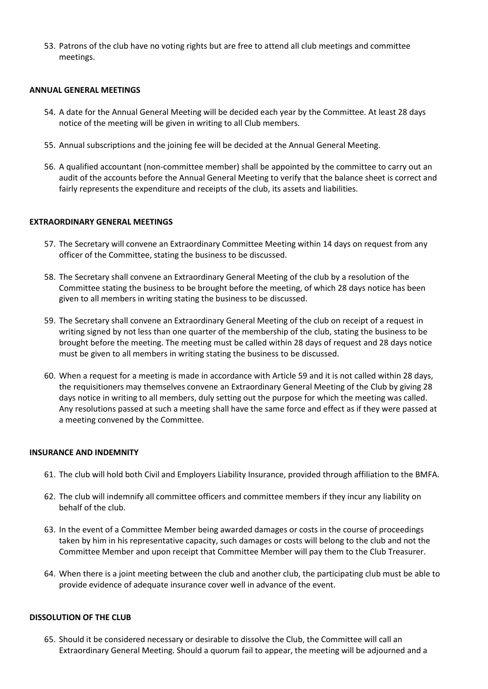53. Patrons of the club have no voting rights but are free to attend all club meetings and committee meetings.

#### **ANNUAL GENERAL MEETINGS**

- 54. A date for the Annual General Meeting will be decided each year by the Committee. At least 28 days notice of the meeting will be given in writing to all Club members.
- 55. Annual subscriptions and the joining fee will be decided at the Annual General Meeting.
- 56. A qualified accountant (non-committee member) shall be appointed by the committee to carry out an audit of the accounts before the Annual General Meeting to verify that the balance sheet is correct and fairly represents the expenditure and receipts of the club, its assets and liabilities.

## **EXTRAORDINARY GENERAL MEETINGS**

- 57. The Secretary will convene an Extraordinary Committee Meeting within 14 days on request from any officer of the Committee, stating the business to be discussed.
- 58. The Secretary shall convene an Extraordinary General Meeting of the club by a resolution of the Committee stating the business to be brought before the meeting, of which 28 days notice has been given to all members in writing stating the business to be discussed.
- 59. The Secretary shall convene an Extraordinary General Meeting of the club on receipt of a request in writing signed by not less than one quarter of the membership of the club, stating the business to be brought before the meeting. The meeting must be called within 28 days of request and 28 days notice must be given to all members in writing stating the business to be discussed.
- 60. When a request for a meeting is made in accordance with Article 59 and it is not called within 28 days, the requisitioners may themselves convene an Extraordinary General Meeting of the Club by giving 28 days notice in writing to all members, duly setting out the purpose for which the meeting was called. Any resolutions passed at such a meeting shall have the same force and effect as if they were passed at a meeting convened by the Committee.

### **INSURANCE AND INDEMNITY**

- 61. The club will hold both Civil and Employers Liability Insurance, provided through affiliation to the BMFA.
- 62. The club will indemnify all committee officers and committee members if they incur any liability on behalf of the club.
- 63. In the event of a Committee Member being awarded damages or costs in the course of proceedings taken by him in his representative capacity, such damages or costs will belong to the club and not the Committee Member and upon receipt that Committee Member will pay them to the Club Treasurer.
- 64. When there is a joint meeting between the club and another club, the participating club must be able to provide evidence of adequate insurance cover well in advance of the event.

#### **DISSOLUTION OF THE CLUB**

65. Should it be considered necessary or desirable to dissolve the Club, the Committee will call an Extraordinary General Meeting. Should a quorum fail to appear, the meeting will be adjourned and a